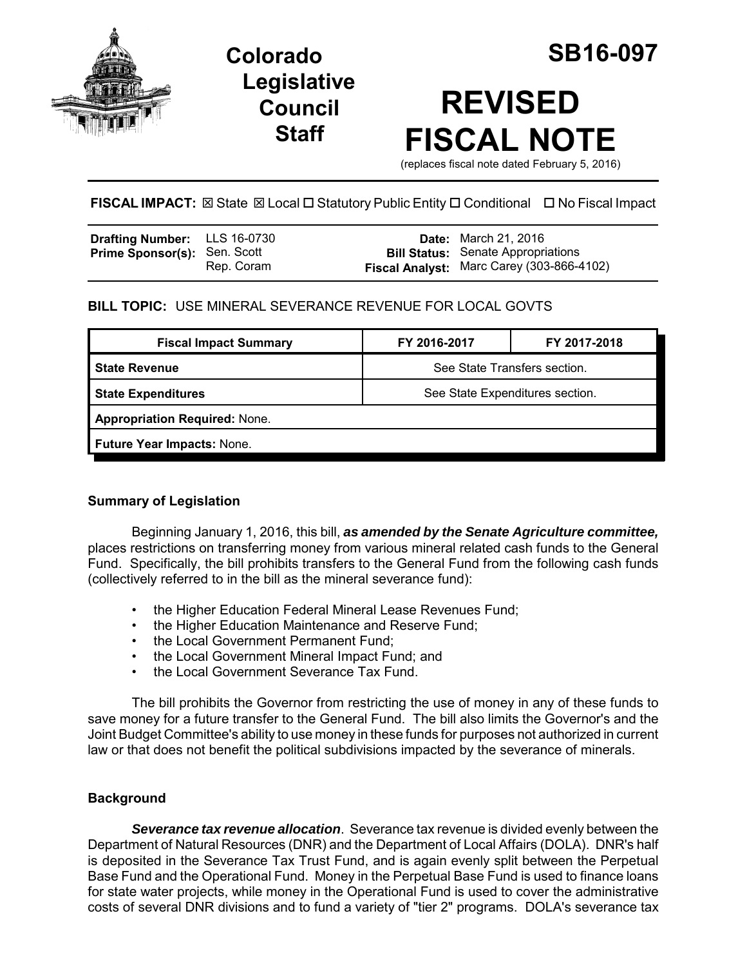

**Legislative Council Staff**

# **REVISED FISCAL NOTE**

(replaces fiscal note dated February 5, 2016)

# **FISCAL IMPACT:** ⊠ State ⊠ Local □ Statutory Public Entity □ Conditional □ No Fiscal Impact

| <b>Drafting Number:</b> LLS 16-0730 |            | <b>Date:</b> March 21, 2016                                                            |
|-------------------------------------|------------|----------------------------------------------------------------------------------------|
| <b>Prime Sponsor(s): Sen. Scott</b> | Rep. Coram | <b>Bill Status:</b> Senate Appropriations<br>Fiscal Analyst: Marc Carey (303-866-4102) |

# **BILL TOPIC:** USE MINERAL SEVERANCE REVENUE FOR LOCAL GOVTS

| <b>Fiscal Impact Summary</b>         | FY 2016-2017                    | FY 2017-2018 |  |  |
|--------------------------------------|---------------------------------|--------------|--|--|
| l State Revenue                      | See State Transfers section.    |              |  |  |
| <b>State Expenditures</b>            | See State Expenditures section. |              |  |  |
| <b>Appropriation Required: None.</b> |                                 |              |  |  |
| Future Year Impacts: None.           |                                 |              |  |  |
|                                      |                                 |              |  |  |

## **Summary of Legislation**

Beginning January 1, 2016, this bill, *as amended by the Senate Agriculture committee,* places restrictions on transferring money from various mineral related cash funds to the General Fund. Specifically, the bill prohibits transfers to the General Fund from the following cash funds (collectively referred to in the bill as the mineral severance fund):

- the Higher Education Federal Mineral Lease Revenues Fund;
- the Higher Education Maintenance and Reserve Fund;
- the Local Government Permanent Fund;
- the Local Government Mineral Impact Fund; and
- the Local Government Severance Tax Fund.

The bill prohibits the Governor from restricting the use of money in any of these funds to save money for a future transfer to the General Fund. The bill also limits the Governor's and the Joint Budget Committee's ability to use money in these funds for purposes not authorized in current law or that does not benefit the political subdivisions impacted by the severance of minerals.

## **Background**

*Severance tax revenue allocation*. Severance tax revenue is divided evenly between the Department of Natural Resources (DNR) and the Department of Local Affairs (DOLA). DNR's half is deposited in the Severance Tax Trust Fund, and is again evenly split between the Perpetual Base Fund and the Operational Fund. Money in the Perpetual Base Fund is used to finance loans for state water projects, while money in the Operational Fund is used to cover the administrative costs of several DNR divisions and to fund a variety of "tier 2" programs. DOLA's severance tax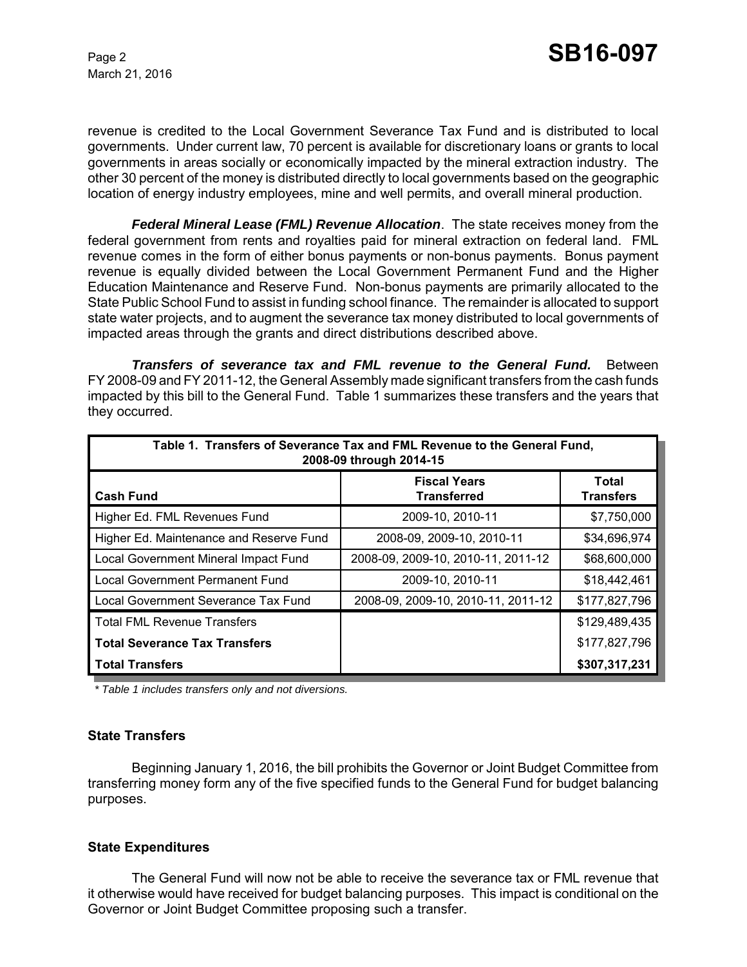March 21, 2016

revenue is credited to the Local Government Severance Tax Fund and is distributed to local governments. Under current law, 70 percent is available for discretionary loans or grants to local governments in areas socially or economically impacted by the mineral extraction industry. The other 30 percent of the money is distributed directly to local governments based on the geographic location of energy industry employees, mine and well permits, and overall mineral production.

*Federal Mineral Lease (FML) Revenue Allocation*. The state receives money from the federal government from rents and royalties paid for mineral extraction on federal land. FML revenue comes in the form of either bonus payments or non-bonus payments. Bonus payment revenue is equally divided between the Local Government Permanent Fund and the Higher Education Maintenance and Reserve Fund. Non-bonus payments are primarily allocated to the State Public School Fund to assist in funding school finance. The remainder is allocated to support state water projects, and to augment the severance tax money distributed to local governments of impacted areas through the grants and direct distributions described above.

*Transfers of severance tax and FML revenue to the General Fund.* Between FY 2008-09 and FY 2011-12, the General Assembly made significant transfers from the cash funds impacted by this bill to the General Fund. Table 1 summarizes these transfers and the years that they occurred.

| Table 1. Transfers of Severance Tax and FML Revenue to the General Fund,<br>2008-09 through 2014-15 |                                           |                           |  |  |  |
|-----------------------------------------------------------------------------------------------------|-------------------------------------------|---------------------------|--|--|--|
| <b>Cash Fund</b>                                                                                    | <b>Fiscal Years</b><br><b>Transferred</b> | Total<br><b>Transfers</b> |  |  |  |
| Higher Ed. FML Revenues Fund                                                                        | 2009-10, 2010-11                          | \$7,750,000               |  |  |  |
| Higher Ed. Maintenance and Reserve Fund                                                             | 2008-09, 2009-10, 2010-11                 | \$34,696,974              |  |  |  |
| Local Government Mineral Impact Fund                                                                | 2008-09, 2009-10, 2010-11, 2011-12        | \$68,600,000              |  |  |  |
| <b>Local Government Permanent Fund</b>                                                              | 2009-10, 2010-11                          | \$18,442,461              |  |  |  |
| Local Government Severance Tax Fund                                                                 | 2008-09, 2009-10, 2010-11, 2011-12        | \$177,827,796             |  |  |  |
| <b>Total FML Revenue Transfers</b>                                                                  |                                           | \$129,489,435             |  |  |  |
| <b>Total Severance Tax Transfers</b>                                                                |                                           | \$177,827,796             |  |  |  |
| <b>Total Transfers</b>                                                                              |                                           | \$307,317,231             |  |  |  |

*\* Table 1 includes transfers only and not diversions.*

#### **State Transfers**

Beginning January 1, 2016, the bill prohibits the Governor or Joint Budget Committee from transferring money form any of the five specified funds to the General Fund for budget balancing purposes.

#### **State Expenditures**

The General Fund will now not be able to receive the severance tax or FML revenue that it otherwise would have received for budget balancing purposes. This impact is conditional on the Governor or Joint Budget Committee proposing such a transfer.